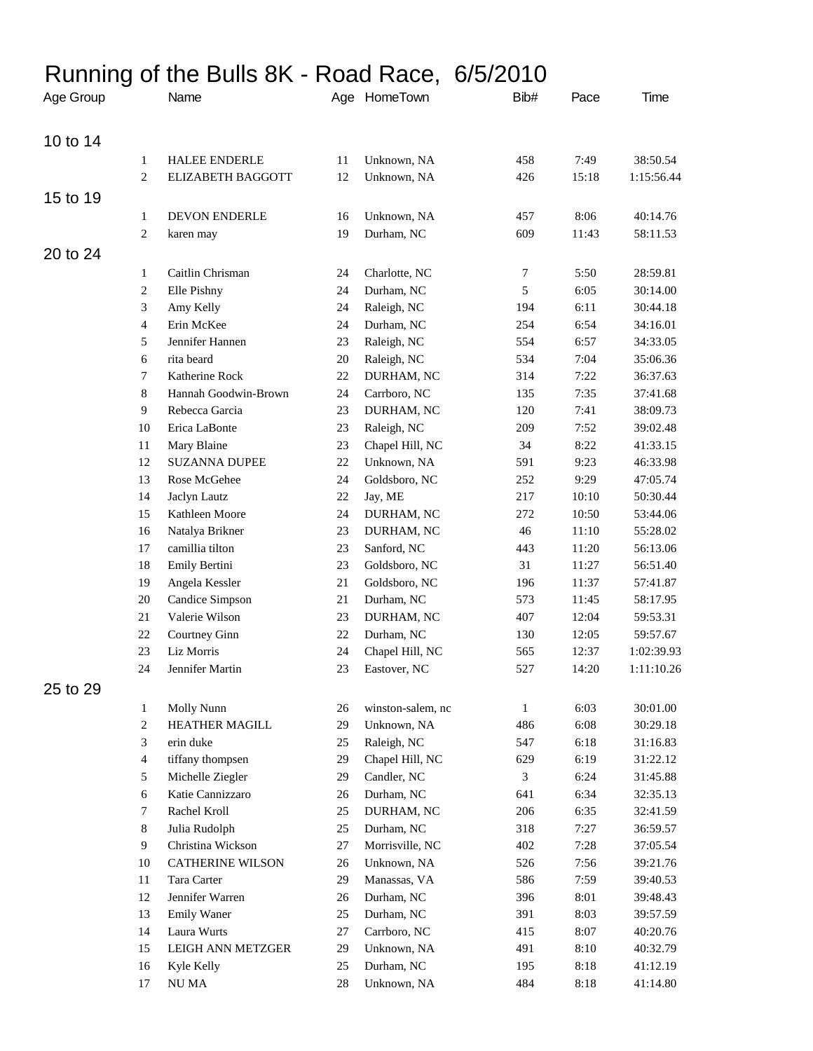## Running of the Bulls 8K - Road Race, 6/5/2010

| Age Group |                | Name                     |        | Age HomeTown      | Bib#             | Pace  | Time       |
|-----------|----------------|--------------------------|--------|-------------------|------------------|-------|------------|
| 10 to 14  |                |                          |        |                   |                  |       |            |
|           | $\mathbf{1}$   | <b>HALEE ENDERLE</b>     | 11     | Unknown, NA       | 458              | 7:49  | 38:50.54   |
|           | $\mathbf{2}$   | <b>ELIZABETH BAGGOTT</b> | 12     | Unknown, NA       | 426              | 15:18 | 1:15:56.44 |
| 15 to 19  |                |                          |        |                   |                  |       |            |
|           | $\mathbf{1}$   | DEVON ENDERLE            | 16     | Unknown, NA       | 457              | 8:06  | 40:14.76   |
|           | $\sqrt{2}$     | karen may                | 19     | Durham, NC        | 609              | 11:43 | 58:11.53   |
| 20 to 24  |                |                          |        |                   |                  |       |            |
|           | $\mathbf{1}$   | Caitlin Chrisman         | 24     | Charlotte, NC     | $\boldsymbol{7}$ | 5:50  | 28:59.81   |
|           | 2              | Elle Pishny              | 24     | Durham, NC        | 5                | 6:05  | 30:14.00   |
|           | 3              | Amy Kelly                | 24     | Raleigh, NC       | 194              | 6:11  | 30:44.18   |
|           | 4              | Erin McKee               | 24     | Durham, NC        | 254              | 6:54  | 34:16.01   |
|           | 5              | Jennifer Hannen          | 23     | Raleigh, NC       | 554              | 6:57  | 34:33.05   |
|           | 6              | rita beard               | $20\,$ | Raleigh, NC       | 534              | 7:04  | 35:06.36   |
|           | 7              | Katherine Rock           | $22\,$ | DURHAM, NC        | 314              | 7:22  | 36:37.63   |
|           | $\,8\,$        | Hannah Goodwin-Brown     | 24     | Carrboro, NC      | 135              | 7:35  | 37:41.68   |
|           | $\overline{9}$ | Rebecca Garcia           | 23     | DURHAM, NC        | 120              | 7:41  | 38:09.73   |
|           | 10             | Erica LaBonte            | 23     | Raleigh, NC       | 209              | 7:52  | 39:02.48   |
|           | $11\,$         | Mary Blaine              | 23     | Chapel Hill, NC   | 34               | 8:22  | 41:33.15   |
|           | 12             | <b>SUZANNA DUPEE</b>     | 22     | Unknown, NA       | 591              | 9:23  | 46:33.98   |
|           | 13             | Rose McGehee             | 24     | Goldsboro, NC     | 252              | 9:29  | 47:05.74   |
|           | 14             | Jaclyn Lautz             | $22\,$ | Jay, ME           | 217              | 10:10 | 50:30.44   |
|           | 15             | Kathleen Moore           | 24     | DURHAM, NC        | 272              | 10:50 | 53:44.06   |
|           | 16             | Natalya Brikner          | 23     | DURHAM, NC        | 46               | 11:10 | 55:28.02   |
|           | 17             | camillia tilton          | 23     | Sanford, NC       | 443              | 11:20 | 56:13.06   |
|           | 18             | Emily Bertini            | 23     | Goldsboro, NC     | 31               | 11:27 | 56:51.40   |
|           | 19             | Angela Kessler           | 21     | Goldsboro, NC     | 196              | 11:37 | 57:41.87   |
|           | 20             | Candice Simpson          | 21     | Durham, NC        | 573              | 11:45 | 58:17.95   |
|           | 21             | Valerie Wilson           | 23     | DURHAM, NC        | 407              | 12:04 | 59:53.31   |
|           | 22             | Courtney Ginn            | 22     | Durham, NC        | 130              | 12:05 | 59:57.67   |
|           | 23             | Liz Morris               | 24     | Chapel Hill, NC   | 565              | 12:37 | 1:02:39.93 |
|           | 24             | Jennifer Martin          | 23     | Eastover, NC      | 527              | 14:20 | 1:11:10.26 |
| 25 to 29  |                |                          |        |                   |                  |       |            |
|           | $\mathbf{1}$   | Molly Nunn               | 26     | winston-salem, nc | $\mathbf{1}$     | 6:03  | 30:01.00   |
|           | $\sqrt{2}$     | <b>HEATHER MAGILL</b>    | 29     | Unknown, NA       | 486              | 6:08  | 30:29.18   |
|           | 3              | erin duke                | 25     | Raleigh, NC       | 547              | 6:18  | 31:16.83   |
|           | 4              | tiffany thompsen         | 29     | Chapel Hill, NC   | 629              | 6:19  | 31:22.12   |
|           | 5              | Michelle Ziegler         | 29     | Candler, NC       | 3                | 6:24  | 31:45.88   |
|           | 6              | Katie Cannizzaro         | 26     | Durham, NC        | 641              | 6:34  | 32:35.13   |
|           | 7              | Rachel Kroll             | 25     | DURHAM, NC        | 206              | 6:35  | 32:41.59   |
|           | 8              | Julia Rudolph            | 25     | Durham, NC        | 318              | 7:27  | 36:59.57   |
|           | 9              | Christina Wickson        | 27     | Morrisville, NC   | 402              | 7:28  | 37:05.54   |
|           | 10             | CATHERINE WILSON         | 26     | Unknown, NA       | 526              | 7:56  | 39:21.76   |
|           | 11             | Tara Carter              | 29     | Manassas, VA      | 586              | 7:59  | 39:40.53   |
|           | 12             | Jennifer Warren          | 26     | Durham, NC        | 396              | 8:01  | 39:48.43   |
|           | 13             | <b>Emily Waner</b>       | 25     | Durham, NC        | 391              | 8:03  | 39:57.59   |
|           | 14             | Laura Wurts              | $27\,$ | Carrboro, NC      | 415              | 8:07  | 40:20.76   |
|           | 15             | LEIGH ANN METZGER        | 29     | Unknown, NA       | 491              | 8:10  | 40:32.79   |
|           | 16             | Kyle Kelly               | 25     | Durham, NC        | 195              | 8:18  | 41:12.19   |
|           | 17             | $\rm NU\,MA$             | $28\,$ | Unknown, NA       | 484              | 8:18  | 41:14.80   |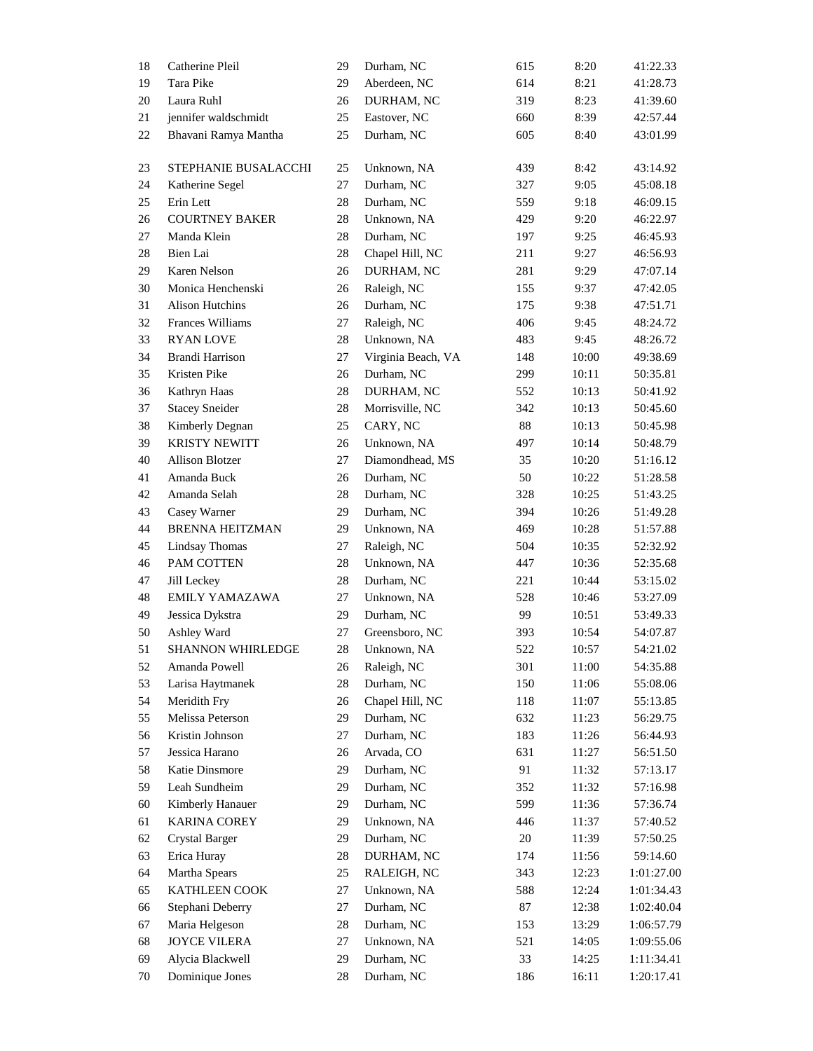| 18     | Catherine Pleil        | 29     | Durham, NC         | 615    | 8:20  | 41:22.33   |
|--------|------------------------|--------|--------------------|--------|-------|------------|
| 19     | Tara Pike              | 29     | Aberdeen, NC       | 614    | 8:21  | 41:28.73   |
| 20     | Laura Ruhl             | 26     | DURHAM, NC         | 319    | 8:23  | 41:39.60   |
| 21     | jennifer waldschmidt   | 25     | Eastover, NC       | 660    | 8:39  | 42:57.44   |
| 22     | Bhavani Ramya Mantha   | 25     | Durham, NC         | 605    | 8:40  | 43:01.99   |
| 23     | STEPHANIE BUSALACCHI   | 25     | Unknown, NA        | 439    | 8:42  | 43:14.92   |
| 24     | Katherine Segel        | 27     | Durham, NC         | 327    | 9:05  | 45:08.18   |
| 25     | Erin Lett              | 28     | Durham, NC         | 559    | 9:18  | 46:09.15   |
| 26     | <b>COURTNEY BAKER</b>  | 28     | Unknown, NA        | 429    | 9:20  | 46:22.97   |
| 27     | Manda Klein            | 28     | Durham, NC         | 197    | 9:25  | 46:45.93   |
| $28\,$ | Bien Lai               | 28     | Chapel Hill, NC    | 211    | 9:27  | 46:56.93   |
| 29     | Karen Nelson           | 26     | DURHAM, NC         | 281    | 9:29  | 47:07.14   |
| 30     | Monica Henchenski      | 26     | Raleigh, NC        | 155    | 9:37  | 47:42.05   |
| 31     | Alison Hutchins        | 26     | Durham, NC         | 175    | 9:38  | 47:51.71   |
| 32     | Frances Williams       | 27     | Raleigh, NC        | 406    | 9:45  | 48:24.72   |
| 33     | <b>RYAN LOVE</b>       | 28     | Unknown, NA        | 483    | 9:45  | 48:26.72   |
| 34     | Brandi Harrison        | 27     | Virginia Beach, VA | 148    | 10:00 | 49:38.69   |
| 35     | Kristen Pike           | 26     | Durham, NC         | 299    | 10:11 | 50:35.81   |
| 36     | Kathryn Haas           | $28\,$ | DURHAM, NC         | 552    | 10:13 | 50:41.92   |
| 37     | <b>Stacey Sneider</b>  | 28     | Morrisville, NC    | 342    | 10:13 | 50:45.60   |
| 38     | Kimberly Degnan        | 25     | CARY, NC           | 88     | 10:13 | 50:45.98   |
| 39     | <b>KRISTY NEWITT</b>   | 26     | Unknown, NA        | 497    | 10:14 | 50:48.79   |
| 40     | <b>Allison Blotzer</b> | 27     | Diamondhead, MS    | 35     | 10:20 | 51:16.12   |
| 41     | Amanda Buck            | 26     | Durham, NC         | 50     | 10:22 | 51:28.58   |
| 42     | Amanda Selah           | 28     | Durham, NC         | 328    | 10:25 | 51:43.25   |
| 43     | Casey Warner           | 29     | Durham, NC         | 394    | 10:26 | 51:49.28   |
| 44     | <b>BRENNA HEITZMAN</b> | 29     | Unknown, NA        | 469    | 10:28 | 51:57.88   |
| 45     | <b>Lindsay Thomas</b>  | 27     | Raleigh, NC        | 504    | 10:35 | 52:32.92   |
| 46     | PAM COTTEN             | 28     | Unknown, NA        | 447    | 10:36 | 52:35.68   |
| 47     | Jill Leckey            | 28     | Durham, NC         | 221    | 10:44 | 53:15.02   |
| 48     | EMILY YAMAZAWA         | 27     | Unknown, NA        | 528    | 10:46 | 53:27.09   |
| 49     | Jessica Dykstra        | 29     | Durham, NC         | 99     | 10:51 | 53:49.33   |
| 50     | Ashley Ward            | 27     | Greensboro, NC     | 393    | 10:54 | 54:07.87   |
| 51     | SHANNON WHIRLEDGE      | 28     | Unknown, NA        | 522    | 10:57 | 54:21.02   |
| 52     | Amanda Powell          | 26     | Raleigh, NC        | 301    | 11:00 | 54:35.88   |
| 53     | Larisa Haytmanek       | $28\,$ | Durham, NC         | 150    | 11:06 | 55:08.06   |
| 54     | Meridith Fry           | 26     | Chapel Hill, NC    | 118    | 11:07 | 55:13.85   |
| 55     | Melissa Peterson       | 29     | Durham, NC         | 632    | 11:23 | 56:29.75   |
| 56     | Kristin Johnson        | 27     | Durham, NC         | 183    | 11:26 | 56:44.93   |
| 57     | Jessica Harano         | 26     | Arvada, CO         | 631    | 11:27 | 56:51.50   |
| 58     | Katie Dinsmore         | 29     | Durham, NC         | 91     | 11:32 | 57:13.17   |
| 59     | Leah Sundheim          | 29     | Durham, NC         | 352    | 11:32 | 57:16.98   |
| $60\,$ | Kimberly Hanauer       | 29     | Durham, NC         | 599    | 11:36 | 57:36.74   |
| 61     | <b>KARINA COREY</b>    | 29     | Unknown, NA        | 446    | 11:37 | 57:40.52   |
| 62     | Crystal Barger         | 29     | Durham, NC         | $20\,$ | 11:39 | 57:50.25   |
| 63     | Erica Huray            | 28     | DURHAM, NC         | 174    | 11:56 | 59:14.60   |
| 64     | Martha Spears          | 25     | RALEIGH, NC        | 343    | 12:23 | 1:01:27.00 |
| 65     | KATHLEEN COOK          | 27     | Unknown, NA        | 588    | 12:24 | 1:01:34.43 |
| 66     | Stephani Deberry       | 27     | Durham, NC         | 87     | 12:38 | 1:02:40.04 |
| 67     | Maria Helgeson         | 28     | Durham, NC         | 153    | 13:29 | 1:06:57.79 |
| 68     | <b>JOYCE VILERA</b>    | 27     | Unknown, NA        | 521    | 14:05 | 1:09:55.06 |
| 69     | Alycia Blackwell       | 29     | Durham, NC         | 33     | 14:25 | 1:11:34.41 |
| 70     | Dominique Jones        | 28     | Durham, NC         | 186    | 16:11 | 1:20:17.41 |
|        |                        |        |                    |        |       |            |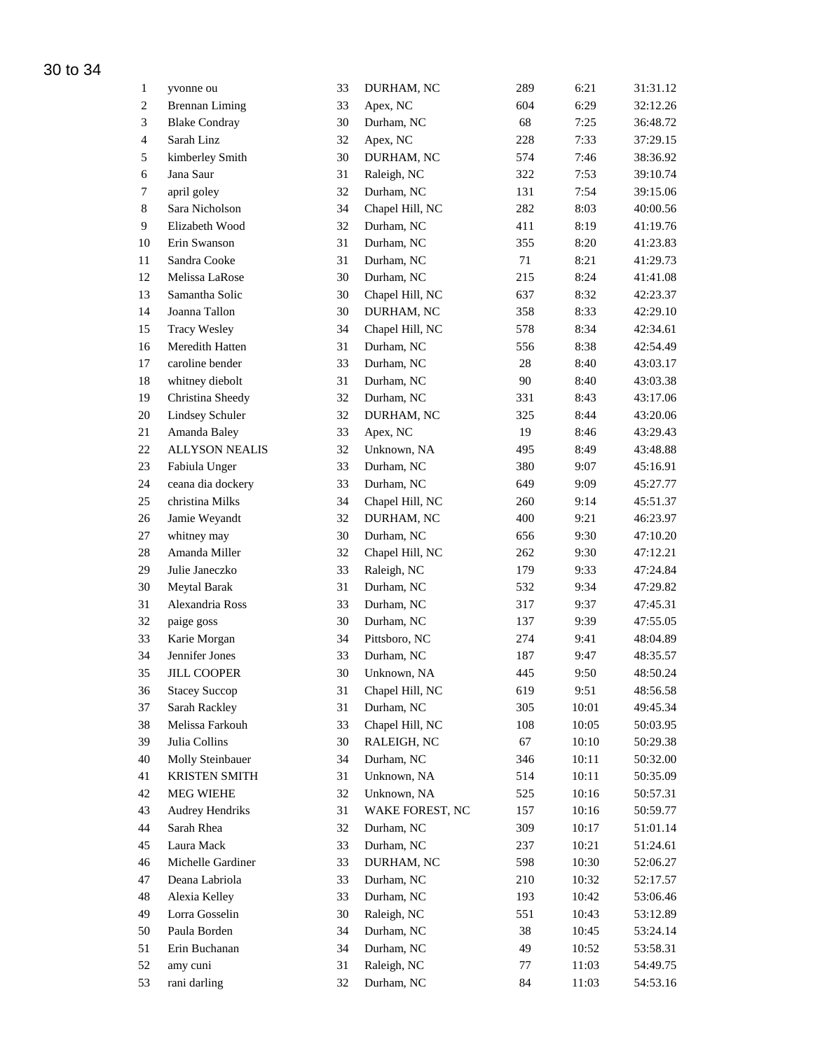| $\mathbf{1}$   | yvonne ou                           | 33       | DURHAM, NC               | 289 | 6:21  | 31:31.12 |
|----------------|-------------------------------------|----------|--------------------------|-----|-------|----------|
| $\overline{2}$ | <b>Brennan Liming</b>               | 33       | Apex, NC                 | 604 | 6:29  | 32:12.26 |
| $\mathfrak{Z}$ | <b>Blake Condray</b>                | 30       | Durham, NC               | 68  | 7:25  | 36:48.72 |
| $\overline{4}$ | Sarah Linz                          | 32       | Apex, NC                 | 228 | 7:33  | 37:29.15 |
| 5              | kimberley Smith                     | 30       | DURHAM, NC               | 574 | 7:46  | 38:36.92 |
| $\sqrt{6}$     | Jana Saur                           | 31       | Raleigh, NC              | 322 | 7:53  | 39:10.74 |
| $\tau$         | april goley                         | 32       | Durham, NC               | 131 | 7:54  | 39:15.06 |
| $\,$ 8 $\,$    | Sara Nicholson                      | 34       | Chapel Hill, NC          | 282 | 8:03  | 40:00.56 |
| $\overline{9}$ | Elizabeth Wood                      | 32       | Durham, NC               | 411 | 8:19  | 41:19.76 |
| 10             | Erin Swanson                        | 31       | Durham, NC               | 355 | 8:20  | 41:23.83 |
| 11             | Sandra Cooke                        | 31       | Durham, NC               | 71  | 8:21  | 41:29.73 |
| 12             | Melissa LaRose                      | 30       | Durham, NC               | 215 | 8:24  | 41:41.08 |
| 13             | Samantha Solic                      | 30       | Chapel Hill, NC          | 637 | 8:32  | 42:23.37 |
| 14             | Joanna Tallon                       | 30       | DURHAM, NC               | 358 | 8:33  | 42:29.10 |
| 15             | <b>Tracy Wesley</b>                 | 34       | Chapel Hill, NC          | 578 | 8:34  | 42:34.61 |
| 16             | Meredith Hatten                     | 31       | Durham, NC               | 556 | 8:38  | 42:54.49 |
| 17             | caroline bender                     | 33       | Durham, NC               | 28  | 8:40  | 43:03.17 |
|                |                                     | 31       |                          | 90  |       |          |
| 18             | whitney diebolt<br>Christina Sheedy |          | Durham, NC               |     | 8:40  | 43:03.38 |
| 19             |                                     | 32<br>32 | Durham, NC<br>DURHAM, NC | 331 | 8:43  | 43:17.06 |
| $20\,$         | Lindsey Schuler                     |          |                          | 325 | 8:44  | 43:20.06 |
| $21\,$         | Amanda Baley                        | 33       | Apex, NC                 | 19  | 8:46  | 43:29.43 |
| $22\,$         | <b>ALLYSON NEALIS</b>               | 32       | Unknown, NA              | 495 | 8:49  | 43:48.88 |
| 23             | Fabiula Unger                       | 33       | Durham, NC               | 380 | 9:07  | 45:16.91 |
| 24             | ceana dia dockery                   | 33       | Durham, NC               | 649 | 9:09  | 45:27.77 |
| 25             | christina Milks                     | 34       | Chapel Hill, NC          | 260 | 9:14  | 45:51.37 |
| $26\,$         | Jamie Weyandt                       | 32       | DURHAM, NC               | 400 | 9:21  | 46:23.97 |
| 27             | whitney may                         | 30       | Durham, NC               | 656 | 9:30  | 47:10.20 |
| 28             | Amanda Miller                       | 32       | Chapel Hill, NC          | 262 | 9:30  | 47:12.21 |
| 29             | Julie Janeczko                      | 33       | Raleigh, NC              | 179 | 9:33  | 47:24.84 |
| 30             | Meytal Barak                        | 31       | Durham, NC               | 532 | 9:34  | 47:29.82 |
| 31             | Alexandria Ross                     | 33       | Durham, NC               | 317 | 9:37  | 47:45.31 |
| 32             | paige goss                          | 30       | Durham, NC               | 137 | 9:39  | 47:55.05 |
| 33             | Karie Morgan                        | 34       | Pittsboro, NC            | 274 | 9:41  | 48:04.89 |
| 34             | Jennifer Jones                      | 33       | Durham, NC               | 187 | 9:47  | 48:35.57 |
| 35             | <b>JILL COOPER</b>                  | 30       | Unknown, NA              | 445 | 9:50  | 48:50.24 |
| 36             | <b>Stacey Succop</b>                | 31       | Chapel Hill, NC          | 619 | 9:51  | 48:56.58 |
| 37             | Sarah Rackley                       | 31       | Durham, NC               | 305 | 10:01 | 49:45.34 |
| 38             | Melissa Farkouh                     | 33       | Chapel Hill, NC          | 108 | 10:05 | 50:03.95 |
| 39             | Julia Collins                       | $30\,$   | RALEIGH, NC              | 67  | 10:10 | 50:29.38 |
| 40             | Molly Steinbauer                    | 34       | Durham, NC               | 346 | 10:11 | 50:32.00 |
| 41             | <b>KRISTEN SMITH</b>                | 31       | Unknown, NA              | 514 | 10:11 | 50:35.09 |
| 42             | <b>MEG WIEHE</b>                    | 32       | Unknown, NA              | 525 | 10:16 | 50:57.31 |
| 43             | <b>Audrey Hendriks</b>              | 31       | WAKE FOREST, NC          | 157 | 10:16 | 50:59.77 |
| 44             | Sarah Rhea                          | 32       | Durham, NC               | 309 | 10:17 | 51:01.14 |
| 45             | Laura Mack                          | 33       | Durham, NC               | 237 | 10:21 | 51:24.61 |
| 46             | Michelle Gardiner                   | 33       | DURHAM, NC               | 598 | 10:30 | 52:06.27 |
| 47             | Deana Labriola                      | 33       | Durham, NC               | 210 | 10:32 | 52:17.57 |
| 48             | Alexia Kelley                       | 33       | Durham, NC               | 193 | 10:42 | 53:06.46 |
| 49             | Lorra Gosselin                      | 30       | Raleigh, NC              | 551 | 10:43 | 53:12.89 |
| 50             | Paula Borden                        | 34       | Durham, NC               | 38  | 10:45 | 53:24.14 |
| 51             | Erin Buchanan                       | 34       | Durham, NC               | 49  | 10:52 | 53:58.31 |
| 52             | amy cuni                            | 31       | Raleigh, NC              | 77  | 11:03 | 54:49.75 |
| 53             | rani darling                        | 32       | Durham, NC               | 84  | 11:03 | 54:53.16 |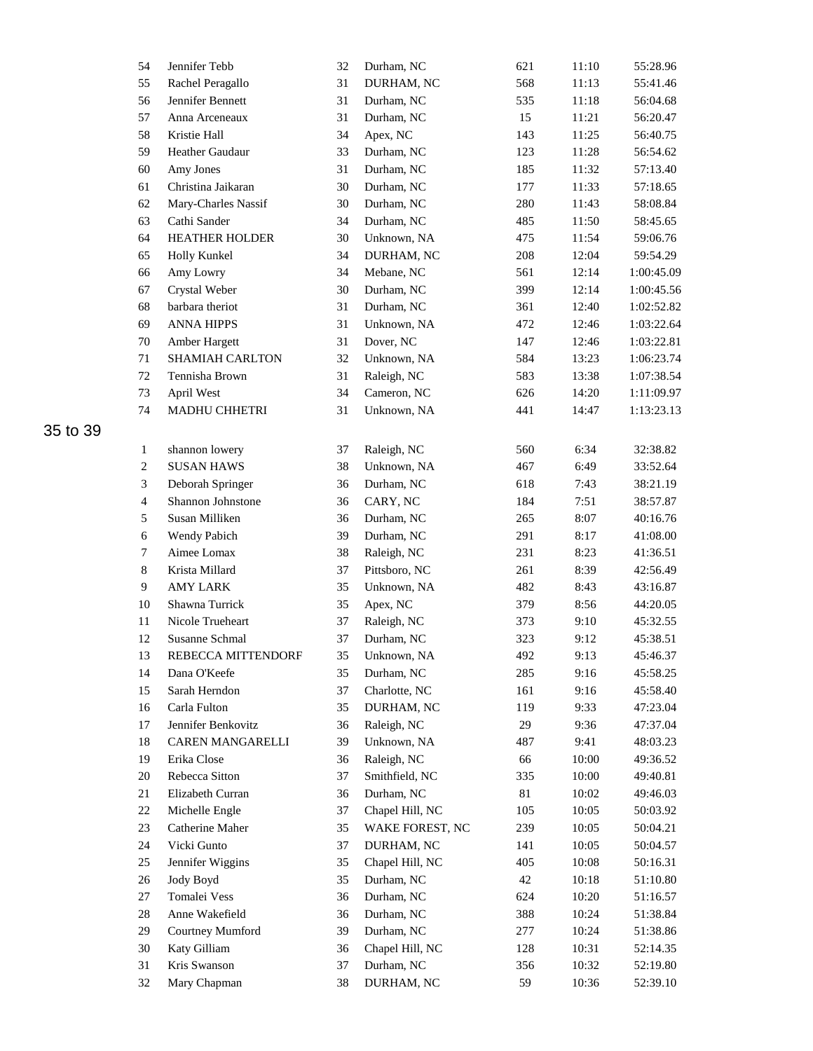| 54             | Jennifer Tebb         | 32 | Durham, NC      | 621 | 11:10 | 55:28.96   |
|----------------|-----------------------|----|-----------------|-----|-------|------------|
| 55             | Rachel Peragallo      | 31 | DURHAM, NC      | 568 | 11:13 | 55:41.46   |
| 56             | Jennifer Bennett      | 31 | Durham, NC      | 535 | 11:18 | 56:04.68   |
| 57             | Anna Arceneaux        | 31 | Durham, NC      | 15  | 11:21 | 56:20.47   |
| 58             | Kristie Hall          | 34 | Apex, NC        | 143 | 11:25 | 56:40.75   |
| 59             | Heather Gaudaur       | 33 | Durham, NC      | 123 | 11:28 | 56:54.62   |
| 60             | Amy Jones             | 31 | Durham, NC      | 185 | 11:32 | 57:13.40   |
| 61             | Christina Jaikaran    | 30 | Durham, NC      | 177 | 11:33 | 57:18.65   |
| 62             | Mary-Charles Nassif   | 30 | Durham, NC      | 280 | 11:43 | 58:08.84   |
| 63             | Cathi Sander          | 34 | Durham, NC      | 485 | 11:50 | 58:45.65   |
| 64             | <b>HEATHER HOLDER</b> | 30 | Unknown, NA     | 475 | 11:54 | 59:06.76   |
| 65             | Holly Kunkel          | 34 | DURHAM, NC      | 208 | 12:04 | 59:54.29   |
| 66             | Amy Lowry             | 34 | Mebane, NC      | 561 | 12:14 | 1:00:45.09 |
| 67             | Crystal Weber         | 30 | Durham, NC      | 399 | 12:14 | 1:00:45.56 |
| 68             | barbara theriot       | 31 | Durham, NC      | 361 | 12:40 | 1:02:52.82 |
| 69             | <b>ANNA HIPPS</b>     | 31 | Unknown, NA     | 472 | 12:46 | 1:03:22.64 |
| 70             | Amber Hargett         | 31 | Dover, NC       | 147 | 12:46 | 1:03:22.81 |
| 71             | SHAMIAH CARLTON       | 32 | Unknown, NA     | 584 | 13:23 | 1:06:23.74 |
| 72             | Tennisha Brown        | 31 | Raleigh, NC     | 583 | 13:38 | 1:07:38.54 |
| 73             | April West            | 34 | Cameron, NC     | 626 | 14:20 | 1:11:09.97 |
| 74             | MADHU CHHETRI         | 31 | Unknown, NA     | 441 | 14:47 | 1:13:23.13 |
|                |                       |    |                 |     |       |            |
|                |                       |    |                 |     |       |            |
| $\mathbf{1}$   | shannon lowery        | 37 | Raleigh, NC     | 560 | 6:34  | 32:38.82   |
| $\sqrt{2}$     | <b>SUSAN HAWS</b>     | 38 | Unknown, NA     | 467 | 6:49  | 33:52.64   |
| $\mathfrak{Z}$ | Deborah Springer      | 36 | Durham, NC      | 618 | 7:43  | 38:21.19   |
| $\overline{4}$ | Shannon Johnstone     | 36 | CARY, NC        | 184 | 7:51  | 38:57.87   |
| 5              | Susan Milliken        | 36 | Durham, NC      | 265 | 8:07  | 40:16.76   |
| $\sqrt{6}$     | Wendy Pabich          | 39 | Durham, NC      | 291 | 8:17  | 41:08.00   |
| $\tau$         | Aimee Lomax           | 38 | Raleigh, NC     | 231 | 8:23  | 41:36.51   |
| $8\,$          | Krista Millard        | 37 | Pittsboro, NC   | 261 | 8:39  | 42:56.49   |
| 9              | <b>AMY LARK</b>       | 35 | Unknown, NA     | 482 | 8:43  | 43:16.87   |
| 10             | Shawna Turrick        | 35 | Apex, NC        | 379 | 8:56  | 44:20.05   |
| 11             | Nicole Trueheart      | 37 | Raleigh, NC     | 373 | 9:10  | 45:32.55   |
| 12             | Susanne Schmal        | 37 | Durham, NC      | 323 | 9:12  | 45:38.51   |
| 13             | REBECCA MITTENDORF    | 35 | Unknown, NA     | 492 | 9:13  | 45:46.37   |
| 14             | Dana O'Keefe          | 35 | Durham, NC      | 285 | 9:16  | 45:58.25   |
| 15             | Sarah Herndon         | 37 | Charlotte, NC   | 161 | 9:16  | 45:58.40   |
| 16             | Carla Fulton          | 35 | DURHAM, NC      | 119 | 9:33  | 47:23.04   |
| 17             | Jennifer Benkovitz    | 36 | Raleigh, NC     | 29  | 9:36  | 47:37.04   |
| 18             | CAREN MANGARELLI      | 39 | Unknown, NA     | 487 | 9:41  | 48:03.23   |
| 19             | Erika Close           | 36 | Raleigh, NC     | 66  | 10:00 | 49:36.52   |
| 20             | Rebecca Sitton        | 37 | Smithfield, NC  | 335 | 10:00 | 49:40.81   |
| 21             | Elizabeth Curran      | 36 | Durham, NC      | 81  | 10:02 | 49:46.03   |
| 22             | Michelle Engle        | 37 | Chapel Hill, NC | 105 | 10:05 | 50:03.92   |
| 23             | Catherine Maher       | 35 | WAKE FOREST, NC | 239 | 10:05 | 50:04.21   |
| 24             | Vicki Gunto           | 37 | DURHAM, NC      | 141 | 10:05 | 50:04.57   |
| 25             | Jennifer Wiggins      | 35 | Chapel Hill, NC | 405 | 10:08 | 50:16.31   |
| 26             | Jody Boyd             | 35 | Durham, NC      | 42  | 10:18 | 51:10.80   |
| 27             | Tomalei Vess          | 36 | Durham, NC      | 624 | 10:20 | 51:16.57   |
| $28\,$         | Anne Wakefield        | 36 | Durham, NC      | 388 | 10:24 | 51:38.84   |
| 29             | Courtney Mumford      | 39 | Durham, NC      | 277 | 10:24 | 51:38.86   |
| 30             | Katy Gilliam          | 36 | Chapel Hill, NC | 128 | 10:31 | 52:14.35   |
| 31             | Kris Swanson          | 37 | Durham, NC      | 356 | 10:32 | 52:19.80   |
| $32\,$         | Mary Chapman          | 38 | DURHAM, NC      | 59  | 10:36 | 52:39.10   |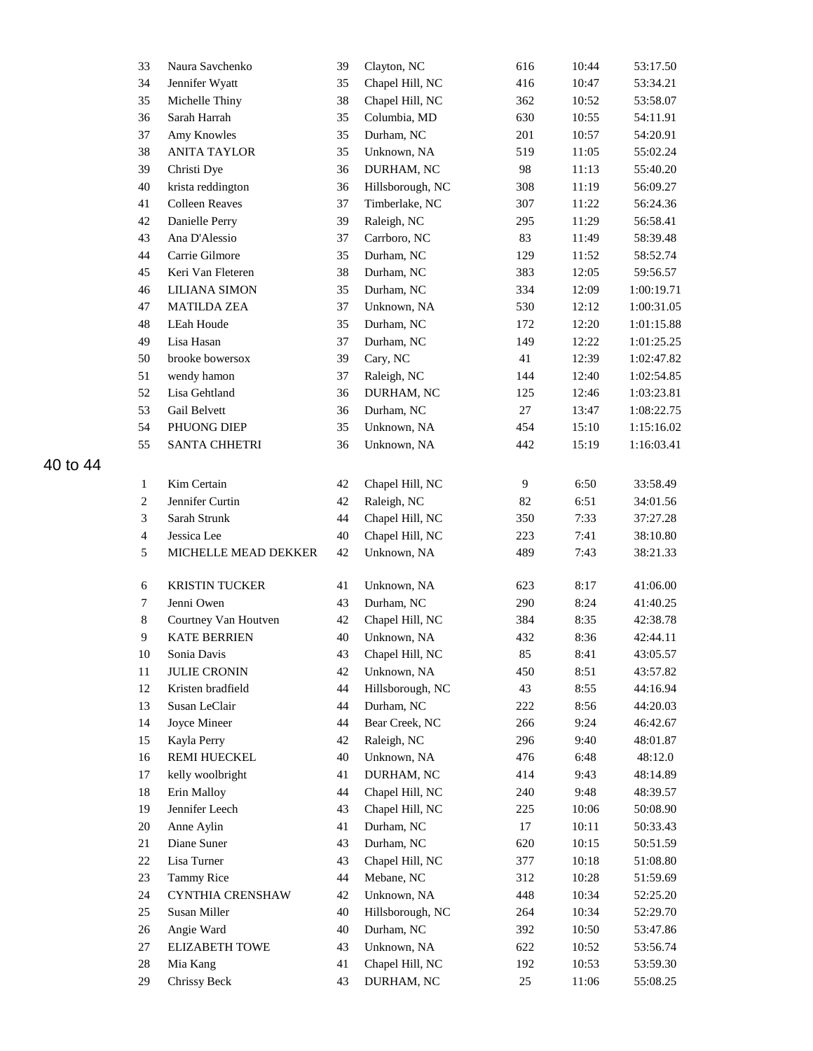| 33               | Naura Savchenko       | 39     | Clayton, NC      | 616 | 10:44 | 53:17.50   |
|------------------|-----------------------|--------|------------------|-----|-------|------------|
| 34               | Jennifer Wyatt        | 35     | Chapel Hill, NC  | 416 | 10:47 | 53:34.21   |
| 35               | Michelle Thiny        | 38     | Chapel Hill, NC  | 362 | 10:52 | 53:58.07   |
| 36               | Sarah Harrah          | 35     | Columbia, MD     | 630 | 10:55 | 54:11.91   |
| 37               | Amy Knowles           | 35     | Durham, NC       | 201 | 10:57 | 54:20.91   |
| 38               | <b>ANITA TAYLOR</b>   | 35     | Unknown, NA      | 519 | 11:05 | 55:02.24   |
| 39               | Christi Dye           | 36     | DURHAM, NC       | 98  | 11:13 | 55:40.20   |
| 40               | krista reddington     | 36     | Hillsborough, NC | 308 | 11:19 | 56:09.27   |
| 41               | <b>Colleen Reaves</b> | 37     | Timberlake, NC   | 307 | 11:22 | 56:24.36   |
| $42\,$           | Danielle Perry        | 39     | Raleigh, NC      | 295 | 11:29 | 56:58.41   |
| 43               | Ana D'Alessio         | 37     | Carrboro, NC     | 83  | 11:49 | 58:39.48   |
| 44               | Carrie Gilmore        | 35     | Durham, NC       | 129 | 11:52 | 58:52.74   |
| 45               | Keri Van Fleteren     | 38     | Durham, NC       | 383 | 12:05 | 59:56.57   |
| 46               | <b>LILIANA SIMON</b>  | 35     | Durham, NC       | 334 | 12:09 | 1:00:19.71 |
| 47               | <b>MATILDA ZEA</b>    | 37     | Unknown, NA      | 530 | 12:12 | 1:00:31.05 |
| 48               | LEah Houde            | 35     | Durham, NC       | 172 | 12:20 | 1:01:15.88 |
| 49               | Lisa Hasan            | 37     | Durham, NC       | 149 | 12:22 | 1:01:25.25 |
| 50               | brooke bowersox       | 39     | Cary, NC         | 41  | 12:39 | 1:02:47.82 |
| 51               | wendy hamon           | 37     | Raleigh, NC      | 144 | 12:40 | 1:02:54.85 |
| 52               | Lisa Gehtland         | 36     | DURHAM, NC       | 125 | 12:46 | 1:03:23.81 |
| 53               | Gail Belvett          | 36     | Durham, NC       | 27  | 13:47 | 1:08:22.75 |
| 54               | PHUONG DIEP           | 35     | Unknown, NA      | 454 | 15:10 | 1:15:16.02 |
| 55               | <b>SANTA CHHETRI</b>  | 36     | Unknown, NA      | 442 | 15:19 | 1:16:03.41 |
|                  |                       |        |                  |     |       |            |
| $\mathbf{1}$     | Kim Certain           | 42     | Chapel Hill, NC  | 9   | 6:50  | 33:58.49   |
| $\boldsymbol{2}$ | Jennifer Curtin       | 42     | Raleigh, NC      | 82  | 6:51  | 34:01.56   |
| 3                | Sarah Strunk          | 44     | Chapel Hill, NC  | 350 | 7:33  | 37:27.28   |
| $\overline{4}$   | Jessica Lee           | $40\,$ | Chapel Hill, NC  | 223 | 7:41  | 38:10.80   |
| 5                | MICHELLE MEAD DEKKER  | 42     | Unknown, NA      | 489 | 7:43  | 38:21.33   |
| 6                | <b>KRISTIN TUCKER</b> | 41     | Unknown, NA      | 623 | 8:17  | 41:06.00   |
| 7                | Jenni Owen            | 43     | Durham, NC       | 290 | 8:24  | 41:40.25   |
| $\,$ 8 $\,$      | Courtney Van Houtven  | 42     | Chapel Hill, NC  | 384 | 8:35  | 42:38.78   |
| 9                | <b>KATE BERRIEN</b>   | 40     | Unknown, NA      | 432 | 8:36  | 42:44.11   |
| 10               | Sonia Davis           | 43     | Chapel Hill, NC  | 85  | 8:41  | 43:05.57   |
| 11               | <b>JULIE CRONIN</b>   | 42     | Unknown, NA      | 450 | 8:51  | 43:57.82   |
| 12               | Kristen bradfield     | 44     | Hillsborough, NC | 43  | 8:55  | 44:16.94   |
| 13               | Susan LeClair         | 44     | Durham, NC       | 222 | 8:56  | 44:20.03   |
| 14               | Joyce Mineer          | 44     | Bear Creek, NC   | 266 | 9:24  | 46:42.67   |
| 15               | Kayla Perry           | 42     | Raleigh, NC      | 296 | 9:40  | 48:01.87   |
| 16               | <b>REMI HUECKEL</b>   | 40     | Unknown, NA      | 476 | 6:48  | 48:12.0    |
| 17               | kelly woolbright      | 41     | DURHAM, NC       | 414 | 9:43  | 48:14.89   |
| 18               | Erin Malloy           | 44     | Chapel Hill, NC  | 240 | 9:48  | 48:39.57   |
| 19               | Jennifer Leech        | 43     | Chapel Hill, NC  | 225 | 10:06 | 50:08.90   |
| 20               | Anne Aylin            | 41     | Durham, NC       | 17  | 10:11 | 50:33.43   |
| 21               | Diane Suner           | 43     | Durham, NC       | 620 | 10:15 | 50:51.59   |
| 22               | Lisa Turner           | 43     | Chapel Hill, NC  | 377 | 10:18 | 51:08.80   |
| 23               | <b>Tammy Rice</b>     | 44     | Mebane, NC       | 312 | 10:28 | 51:59.69   |
| 24               | CYNTHIA CRENSHAW      | 42     | Unknown, NA      | 448 | 10:34 | 52:25.20   |
| 25               | Susan Miller          | 40     | Hillsborough, NC | 264 | 10:34 | 52:29.70   |
| $26\,$           | Angie Ward            | 40     | Durham, NC       | 392 | 10:50 | 53:47.86   |
| 27               | <b>ELIZABETH TOWE</b> | 43     | Unknown, NA      | 622 | 10:52 | 53:56.74   |
| $28\,$           | Mia Kang              | 41     | Chapel Hill, NC  | 192 | 10:53 | 53:59.30   |
| 29               | Chrissy Beck          | 43     | DURHAM, NC       | 25  | 11:06 | 55:08.25   |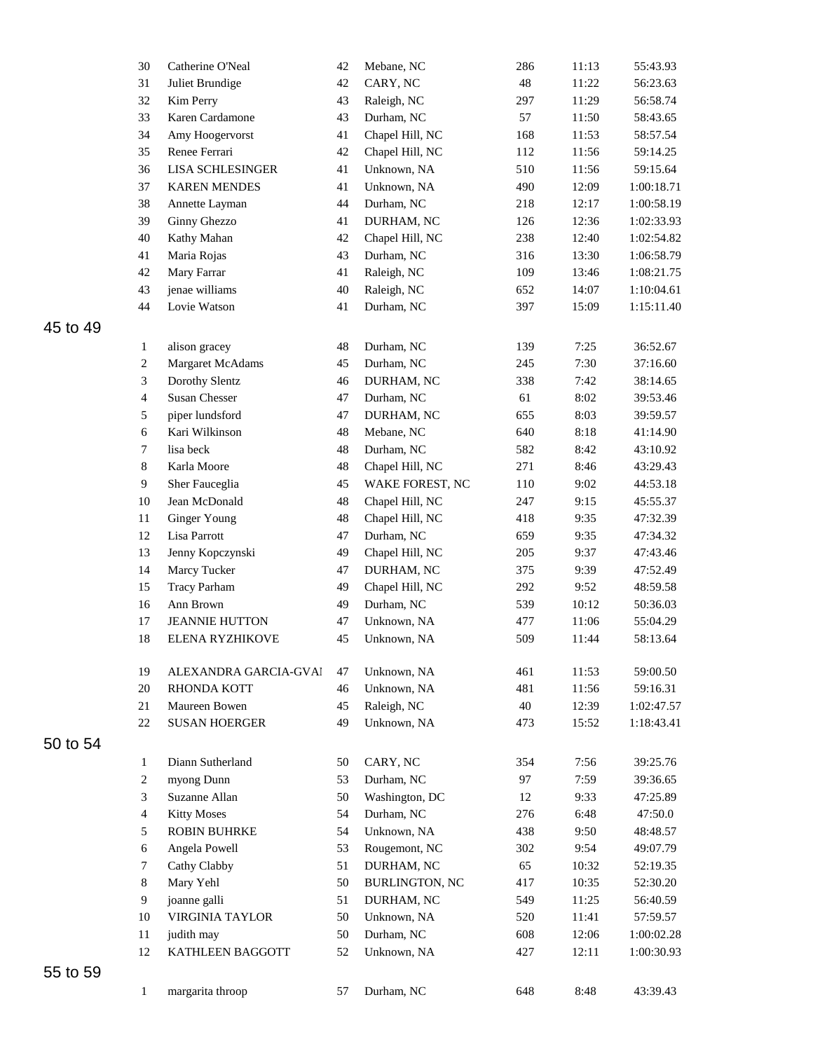|    | 30                       | Catherine O'Neal                   | 42          | Mebane, NC               | 286 | 11:13 | 55:43.93   |
|----|--------------------------|------------------------------------|-------------|--------------------------|-----|-------|------------|
|    | 31                       | Juliet Brundige                    | 42          | CARY, NC                 | 48  | 11:22 | 56:23.63   |
|    | 32                       | Kim Perry                          | 43          | Raleigh, NC              | 297 | 11:29 | 56:58.74   |
|    | 33                       | Karen Cardamone                    | 43          | Durham, NC               | 57  | 11:50 | 58:43.65   |
|    | 34                       | Amy Hoogervorst                    | 41          | Chapel Hill, NC          | 168 | 11:53 | 58:57.54   |
|    | 35                       | Renee Ferrari                      | 42          | Chapel Hill, NC          | 112 | 11:56 | 59:14.25   |
|    | 36                       | <b>LISA SCHLESINGER</b>            | 41          | Unknown, NA              | 510 | 11:56 | 59:15.64   |
|    | 37                       | <b>KAREN MENDES</b>                | 41          | Unknown, NA              | 490 | 12:09 | 1:00:18.71 |
|    | 38                       | Annette Layman                     | 44          | Durham, NC               | 218 | 12:17 | 1:00:58.19 |
|    | 39                       | Ginny Ghezzo                       | 41          | DURHAM, NC               | 126 | 12:36 | 1:02:33.93 |
|    | 40                       | Kathy Mahan                        | 42          | Chapel Hill, NC          | 238 | 12:40 | 1:02:54.82 |
|    | 41                       | Maria Rojas                        | 43          | Durham, NC               | 316 | 13:30 | 1:06:58.79 |
|    | 42                       | Mary Farrar                        | 41          | Raleigh, NC              | 109 | 13:46 | 1:08:21.75 |
|    | 43                       | jenae williams                     | $40\,$      | Raleigh, NC              | 652 | 14:07 | 1:10:04.61 |
|    | 44                       | Lovie Watson                       | 41          | Durham, NC               | 397 | 15:09 | 1:15:11.40 |
| 49 |                          |                                    |             |                          |     |       |            |
|    |                          |                                    | 48          | Durham, NC               | 139 | 7:25  | 36:52.67   |
|    | $\mathbf{1}$             | alison gracey                      |             |                          |     |       |            |
|    | $\sqrt{2}$<br>$\sqrt{3}$ | Margaret McAdams<br>Dorothy Slentz | 45          | Durham, NC<br>DURHAM, NC | 245 | 7:30  | 37:16.60   |
|    |                          |                                    | 46          |                          | 338 | 7:42  | 38:14.65   |
|    | $\overline{4}$           | <b>Susan Chesser</b>               | 47          | Durham, NC               | 61  | 8:02  | 39:53.46   |
|    | 5                        | piper lundsford                    | 47          | DURHAM, NC               | 655 | 8:03  | 39:59.57   |
|    | $\sqrt{6}$               | Kari Wilkinson                     | 48          | Mebane, NC               | 640 | 8:18  | 41:14.90   |
|    | $\boldsymbol{7}$         | lisa beck                          | $\sqrt{48}$ | Durham, NC               | 582 | 8:42  | 43:10.92   |
|    | $8\,$                    | Karla Moore                        | $\sqrt{48}$ | Chapel Hill, NC          | 271 | 8:46  | 43:29.43   |
|    | $\overline{9}$           | Sher Fauceglia                     | 45          | WAKE FOREST, NC          | 110 | 9:02  | 44:53.18   |
|    | $10\,$                   | Jean McDonald                      | $\sqrt{48}$ | Chapel Hill, NC          | 247 | 9:15  | 45:55.37   |
|    | 11                       | <b>Ginger Young</b>                | $\sqrt{48}$ | Chapel Hill, NC          | 418 | 9:35  | 47:32.39   |
|    | 12                       | Lisa Parrott                       | 47          | Durham, NC               | 659 | 9:35  | 47:34.32   |
|    | 13                       | Jenny Kopczynski                   | 49          | Chapel Hill, NC          | 205 | 9:37  | 47:43.46   |
|    | 14                       | Marcy Tucker                       | 47          | DURHAM, NC               | 375 | 9:39  | 47:52.49   |
|    | 15                       | <b>Tracy Parham</b>                | 49          | Chapel Hill, NC          | 292 | 9:52  | 48:59.58   |
|    | 16                       | Ann Brown                          | 49          | Durham, NC               | 539 | 10:12 | 50:36.03   |
|    | 17                       | <b>JEANNIE HUTTON</b>              | 47          | Unknown, NA              | 477 | 11:06 | 55:04.29   |
|    | $18\,$                   | ELENA RYZHIKOVE                    | 45          | Unknown, NA              | 509 | 11:44 | 58:13.64   |
|    | 19                       | ALEXANDRA GARCIA-GVAI              | 47          | Unknown, NA              | 461 | 11:53 | 59:00.50   |
|    | $20\,$                   | <b>RHONDA KOTT</b>                 | 46          | Unknown, NA              | 481 | 11:56 | 59:16.31   |
|    | 21                       | Maureen Bowen                      | 45          | Raleigh, NC              | 40  | 12:39 | 1:02:47.57 |
|    | 22                       | <b>SUSAN HOERGER</b>               | 49          | Unknown, NA              | 473 | 15:52 | 1:18:43.41 |
| 54 |                          |                                    |             |                          |     |       |            |
|    | $\mathbf{1}$             | Diann Sutherland                   | 50          | CARY, NC                 | 354 | 7:56  | 39:25.76   |
|    | $\sqrt{2}$               | myong Dunn                         | 53          | Durham, NC               | 97  | 7:59  | 39:36.65   |
|    | 3                        | Suzanne Allan                      | 50          | Washington, DC           | 12  | 9:33  | 47:25.89   |
|    | $\overline{4}$           | <b>Kitty Moses</b>                 | 54          | Durham, NC               | 276 | 6:48  | 47:50.0    |
|    | 5                        | <b>ROBIN BUHRKE</b>                | 54          | Unknown, NA              | 438 | 9:50  | 48:48.57   |
|    |                          |                                    |             |                          |     |       |            |
|    | 6                        | Angela Powell                      | 53          | Rougemont, NC            | 302 | 9:54  | 49:07.79   |
|    | $\overline{7}$           | Cathy Clabby                       | 51          | DURHAM, NC               | 65  | 10:32 | 52:19.35   |
|    | $8\,$                    | Mary Yehl                          | 50          | BURLINGTON, NC           | 417 | 10:35 | 52:30.20   |
|    | 9                        | joanne galli                       | 51          | DURHAM, NC               | 549 | 11:25 | 56:40.59   |
|    | 10                       | VIRGINIA TAYLOR                    | 50          | Unknown, NA              | 520 | 11:41 | 57:59.57   |
|    | 11                       | judith may                         | 50          | Durham, NC               | 608 | 12:06 | 1:00:02.28 |
|    | 12                       | KATHLEEN BAGGOTT                   | 52          | Unknown, NA              | 427 | 12:11 | 1:00:30.93 |
| 59 |                          |                                    |             |                          |     |       |            |
|    | $\mathbf{1}$             | margarita throop                   | 57          | Durham, NC               | 648 | 8:48  | 43:39.43   |
|    |                          |                                    |             |                          |     |       |            |

to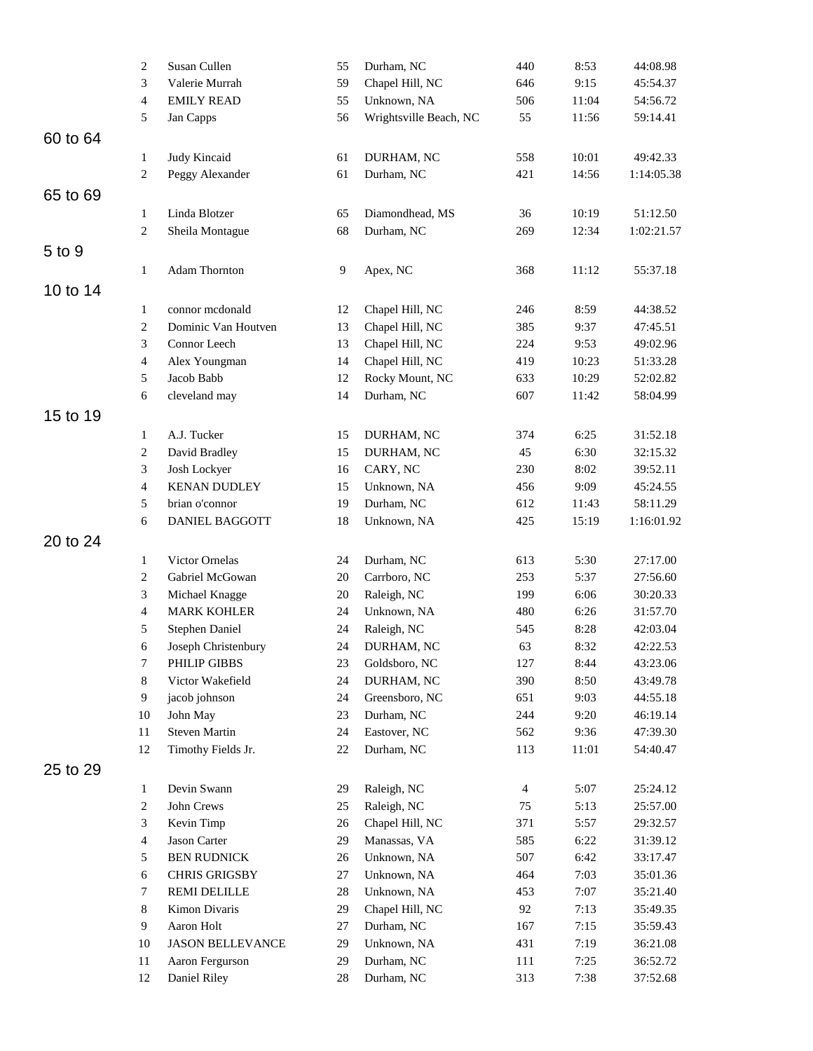|          | $\overline{c}$                 | Susan Cullen                         | 55       | Durham, NC                  | 440            | 8:53         | 44:08.98             |
|----------|--------------------------------|--------------------------------------|----------|-----------------------------|----------------|--------------|----------------------|
|          | 3                              | Valerie Murrah                       | 59       | Chapel Hill, NC             | 646            | 9:15         | 45:54.37             |
|          | $\overline{4}$                 | <b>EMILY READ</b>                    | 55       | Unknown, NA                 | 506            | 11:04        | 54:56.72             |
|          | 5                              | Jan Capps                            | 56       | Wrightsville Beach, NC      | 55             | 11:56        | 59:14.41             |
| 60 to 64 |                                |                                      |          |                             |                |              |                      |
|          | 1                              | Judy Kincaid                         | 61       | DURHAM, NC                  | 558            | 10:01        | 49:42.33             |
|          | $\overline{c}$                 | Peggy Alexander                      | 61       | Durham, NC                  | 421            | 14:56        | 1:14:05.38           |
| 65 to 69 |                                |                                      |          |                             |                |              |                      |
|          | 1                              | Linda Blotzer                        | 65       | Diamondhead, MS             | 36             | 10:19        | 51:12.50             |
|          | $\overline{2}$                 | Sheila Montague                      | 68       | Durham, NC                  | 269            | 12:34        | 1:02:21.57           |
| 5 to 9   |                                |                                      |          |                             |                |              |                      |
|          | 1                              | Adam Thornton                        | 9        | Apex, NC                    | 368            | 11:12        | 55:37.18             |
| 10 to 14 |                                |                                      |          |                             |                |              |                      |
|          | $\mathbf{1}$                   | connor mcdonald                      | 12       | Chapel Hill, NC             | 246            | 8:59         | 44:38.52             |
|          | $\sqrt{2}$                     | Dominic Van Houtven                  | 13       | Chapel Hill, NC             | 385            | 9:37         | 47:45.51             |
|          | 3                              | Connor Leech                         | 13       | Chapel Hill, NC             | 224            | 9:53         | 49:02.96             |
|          | $\overline{4}$                 | Alex Youngman                        | 14       | Chapel Hill, NC             | 419            | 10:23        | 51:33.28             |
|          | 5                              | Jacob Babb                           | 12       | Rocky Mount, NC             | 633            | 10:29        | 52:02.82             |
|          | 6                              | cleveland may                        | 14       | Durham, NC                  | 607            | 11:42        | 58:04.99             |
| 15 to 19 |                                |                                      |          |                             |                |              |                      |
|          |                                | A.J. Tucker                          | 15       |                             | 374            | 6:25         | 31:52.18             |
|          | $\mathbf{1}$<br>$\overline{c}$ | David Bradley                        | 15       | DURHAM, NC<br>DURHAM, NC    | 45             | 6:30         | 32:15.32             |
|          | 3                              | Josh Lockyer                         | 16       | CARY, NC                    | 230            | 8:02         | 39:52.11             |
|          | $\overline{4}$                 | <b>KENAN DUDLEY</b>                  | 15       | Unknown, NA                 | 456            | 9:09         | 45:24.55             |
|          | 5                              | brian o'connor                       | 19       | Durham, NC                  | 612            | 11:43        | 58:11.29             |
|          | 6                              | DANIEL BAGGOTT                       | 18       | Unknown, NA                 | 425            | 15:19        | 1:16:01.92           |
| 20 to 24 |                                |                                      |          |                             |                |              |                      |
|          |                                |                                      |          |                             |                |              |                      |
|          | $\mathbf{1}$                   | Victor Ornelas                       | 24       | Durham, NC                  | 613            | 5:30         | 27:17.00             |
|          | $\overline{c}$<br>3            | Gabriel McGowan                      | 20       | Carrboro, NC<br>Raleigh, NC | 253            | 5:37<br>6:06 | 27:56.60             |
|          | $\overline{4}$                 | Michael Knagge<br><b>MARK KOHLER</b> | 20       |                             | 199<br>480     | 6:26         | 30:20.33             |
|          | 5                              | Stephen Daniel                       | 24<br>24 | Unknown, NA<br>Raleigh, NC  | 545            | 8:28         | 31:57.70<br>42:03.04 |
|          | 6                              | Joseph Christenbury                  | 24       | DURHAM, NC                  | 63             | 8:32         | 42:22.53             |
|          | 7                              | PHILIP GIBBS                         | 23       | Goldsboro, NC               | 127            | 8:44         | 43:23.06             |
|          | 8                              | Victor Wakefield                     | 24       | DURHAM, NC                  | 390            | 8:50         | 43:49.78             |
|          | 9                              | jacob johnson                        | 24       | Greensboro, NC              | 651            | 9:03         | 44:55.18             |
|          | 10                             | John May                             | 23       | Durham, NC                  | 244            | 9:20         | 46:19.14             |
|          | 11                             | <b>Steven Martin</b>                 | 24       | Eastover, NC                | 562            | 9:36         | 47:39.30             |
|          | 12                             | Timothy Fields Jr.                   | 22       | Durham, NC                  | 113            | 11:01        | 54:40.47             |
| 25 to 29 |                                |                                      |          |                             |                |              |                      |
|          | $\mathbf{1}$                   | Devin Swann                          | 29       | Raleigh, NC                 | $\overline{4}$ | 5:07         | 25:24.12             |
|          | 2                              | John Crews                           | 25       | Raleigh, NC                 | 75             | 5:13         | 25:57.00             |
|          | 3                              | Kevin Timp                           | 26       | Chapel Hill, NC             | 371            | 5:57         | 29:32.57             |
|          | $\overline{4}$                 | Jason Carter                         | 29       | Manassas, VA                | 585            | 6:22         | 31:39.12             |
|          | 5                              | <b>BEN RUDNICK</b>                   | 26       | Unknown, NA                 | 507            | 6:42         | 33:17.47             |
|          | 6                              | CHRIS GRIGSBY                        | 27       | Unknown, NA                 | 464            | 7:03         | 35:01.36             |
|          | 7                              | <b>REMI DELILLE</b>                  | 28       | Unknown, NA                 | 453            | 7:07         | 35:21.40             |
|          | 8                              | Kimon Divaris                        | 29       | Chapel Hill, NC             | 92             | 7:13         | 35:49.35             |
|          | 9                              | Aaron Holt                           | 27       | Durham, NC                  | 167            | 7:15         | 35:59.43             |
|          | 10                             | <b>JASON BELLEVANCE</b>              | 29       | Unknown, NA                 | 431            | 7:19         | 36:21.08             |
|          | 11                             | Aaron Fergurson                      | 29       | Durham, NC                  | 111            | 7:25         | 36:52.72             |
|          | 12                             | Daniel Riley                         | 28       | Durham, NC                  | 313            | 7:38         | 37:52.68             |
|          |                                |                                      |          |                             |                |              |                      |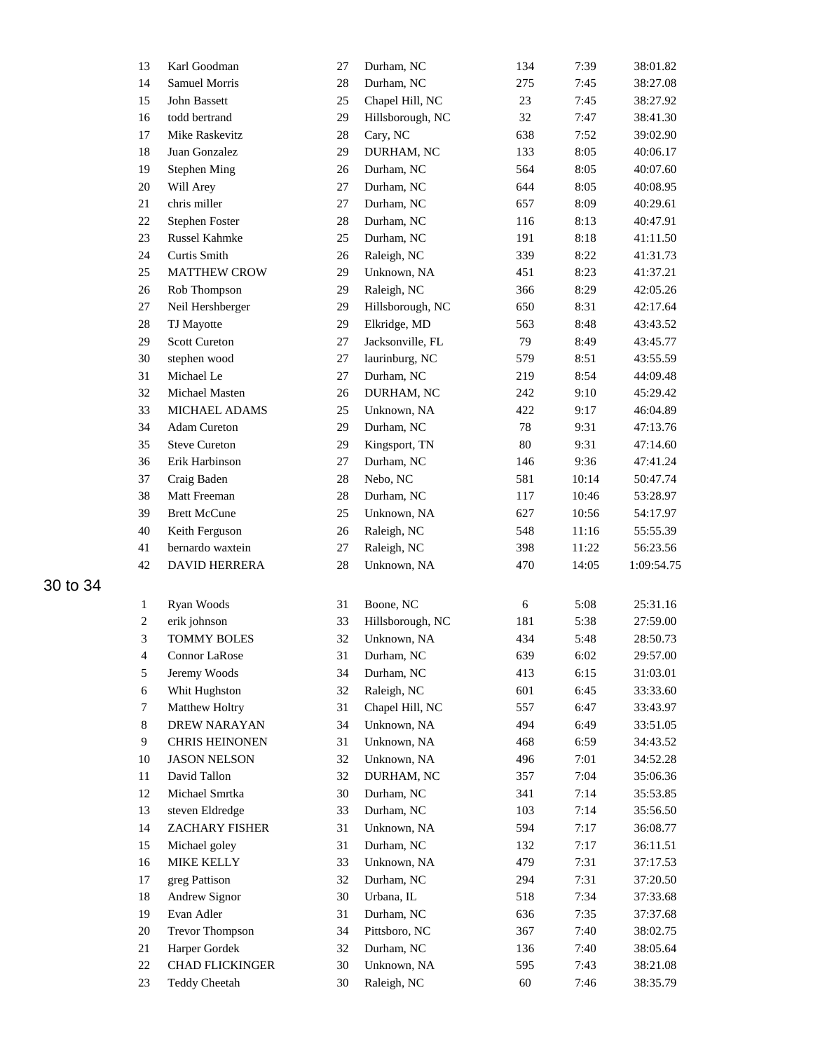| 13               | Karl Goodman           | 27     | Durham, NC       | 134    | 7:39  | 38:01.82   |
|------------------|------------------------|--------|------------------|--------|-------|------------|
| 14               | <b>Samuel Morris</b>   | 28     | Durham, NC       | 275    | 7:45  | 38:27.08   |
| 15               | John Bassett           | 25     | Chapel Hill, NC  | 23     | 7:45  | 38:27.92   |
| 16               | todd bertrand          | 29     | Hillsborough, NC | 32     | 7:47  | 38:41.30   |
| 17               | Mike Raskevitz         | 28     | Cary, NC         | 638    | 7:52  | 39:02.90   |
| 18               | Juan Gonzalez          | 29     | DURHAM, NC       | 133    | 8:05  | 40:06.17   |
| 19               | <b>Stephen Ming</b>    | 26     | Durham, NC       | 564    | 8:05  | 40:07.60   |
| 20               | Will Arey              | 27     | Durham, NC       | 644    | 8:05  | 40:08.95   |
| 21               | chris miller           | 27     | Durham, NC       | 657    | 8:09  | 40:29.61   |
| 22               | Stephen Foster         | $28\,$ | Durham, NC       | 116    | 8:13  | 40:47.91   |
| 23               | Russel Kahmke          | 25     | Durham, NC       | 191    | 8:18  | 41:11.50   |
| 24               | Curtis Smith           | 26     | Raleigh, NC      | 339    | 8:22  | 41:31.73   |
| 25               | <b>MATTHEW CROW</b>    | 29     | Unknown, NA      | 451    | 8:23  | 41:37.21   |
| 26               | Rob Thompson           | 29     | Raleigh, NC      | 366    | 8:29  | 42:05.26   |
| 27               | Neil Hershberger       | 29     | Hillsborough, NC | 650    | 8:31  | 42:17.64   |
| 28               | TJ Mayotte             | 29     | Elkridge, MD     | 563    | 8:48  | 43:43.52   |
| 29               | <b>Scott Cureton</b>   | 27     | Jacksonville, FL | 79     | 8:49  | 43:45.77   |
| 30               | stephen wood           | 27     | laurinburg, NC   | 579    | 8:51  | 43:55.59   |
| 31               | Michael Le             | 27     | Durham, NC       | 219    | 8:54  | 44:09.48   |
| 32               | Michael Masten         | 26     | DURHAM, NC       | 242    | 9:10  | 45:29.42   |
| 33               | MICHAEL ADAMS          | 25     | Unknown, NA      | 422    | 9:17  | 46:04.89   |
| 34               | <b>Adam Cureton</b>    | 29     | Durham, NC       | 78     | 9:31  | 47:13.76   |
| 35               | <b>Steve Cureton</b>   | 29     | Kingsport, TN    | $80\,$ | 9:31  | 47:14.60   |
| 36               | Erik Harbinson         | 27     | Durham, NC       | 146    | 9:36  | 47:41.24   |
| 37               | Craig Baden            | 28     | Nebo, NC         | 581    | 10:14 | 50:47.74   |
| 38               | Matt Freeman           | 28     | Durham, NC       | 117    | 10:46 | 53:28.97   |
| 39               | <b>Brett McCune</b>    | 25     | Unknown, NA      | 627    | 10:56 | 54:17.97   |
| 40               | Keith Ferguson         | 26     | Raleigh, NC      | 548    | 11:16 | 55:55.39   |
| 41               | bernardo waxtein       | 27     | Raleigh, NC      | 398    | 11:22 | 56:23.56   |
| 42               | DAVID HERRERA          | 28     | Unknown, NA      | 470    | 14:05 | 1:09:54.75 |
|                  |                        |        |                  |        |       |            |
|                  |                        |        |                  |        |       |            |
| $\mathbf{1}$     | Ryan Woods             | 31     | Boone, NC        | 6      | 5:08  | 25:31.16   |
| $\boldsymbol{2}$ | erik johnson           | 33     | Hillsborough, NC | 181    | 5:38  | 27:59.00   |
| $\mathfrak{Z}$   | <b>TOMMY BOLES</b>     | 32     | Unknown, NA      | 434    | 5:48  | 28:50.73   |
| 4                | <b>Connor LaRose</b>   | 31     | Durham, NC       | 639    | 6:02  | 29:57.00   |
| 5                | Jeremy Woods           | 34     | Durham, NC       | 413    | 6:15  | 31:03.01   |
| 6                | Whit Hughston          | 32     | Raleigh, NC      | 601    | 6:45  | 33:33.60   |
| 7                | Matthew Holtry         | 31     | Chapel Hill, NC  | 557    | 6:47  | 33:43.97   |
| $8\,$            | DREW NARAYAN           | 34     | Unknown, NA      | 494    | 6:49  | 33:51.05   |
| 9                | <b>CHRIS HEINONEN</b>  | 31     | Unknown, NA      | 468    | 6:59  | 34:43.52   |
| 10               | <b>JASON NELSON</b>    | 32     | Unknown, NA      | 496    | 7:01  | 34:52.28   |
| 11               | David Tallon           | 32     | DURHAM, NC       | 357    | 7:04  | 35:06.36   |
| 12               | Michael Smrtka         | 30     | Durham, NC       | 341    | 7:14  | 35:53.85   |
| 13               | steven Eldredge        | 33     | Durham, NC       | 103    | 7:14  | 35:56.50   |
| 14               | ZACHARY FISHER         | 31     | Unknown, NA      | 594    | 7:17  | 36:08.77   |
| 15               | Michael goley          | 31     | Durham, NC       | 132    | 7:17  | 36:11.51   |
| 16               | <b>MIKE KELLY</b>      | 33     | Unknown, NA      | 479    | 7:31  | 37:17.53   |
| 17               | greg Pattison          | 32     | Durham, NC       | 294    | 7:31  | 37:20.50   |
| 18               | Andrew Signor          | 30     | Urbana, IL       | 518    | 7:34  | 37:33.68   |
| 19               | Evan Adler             | 31     | Durham, NC       | 636    | 7:35  | 37:37.68   |
| 20               | <b>Trevor Thompson</b> | 34     | Pittsboro, NC    | 367    | 7:40  | 38:02.75   |
| 21               | Harper Gordek          | 32     | Durham, NC       | 136    | 7:40  | 38:05.64   |
| 22               | <b>CHAD FLICKINGER</b> | 30     | Unknown, NA      | 595    | 7:43  | 38:21.08   |
| 23               | <b>Teddy Cheetah</b>   | 30     | Raleigh, NC      | 60     | 7:46  | 38:35.79   |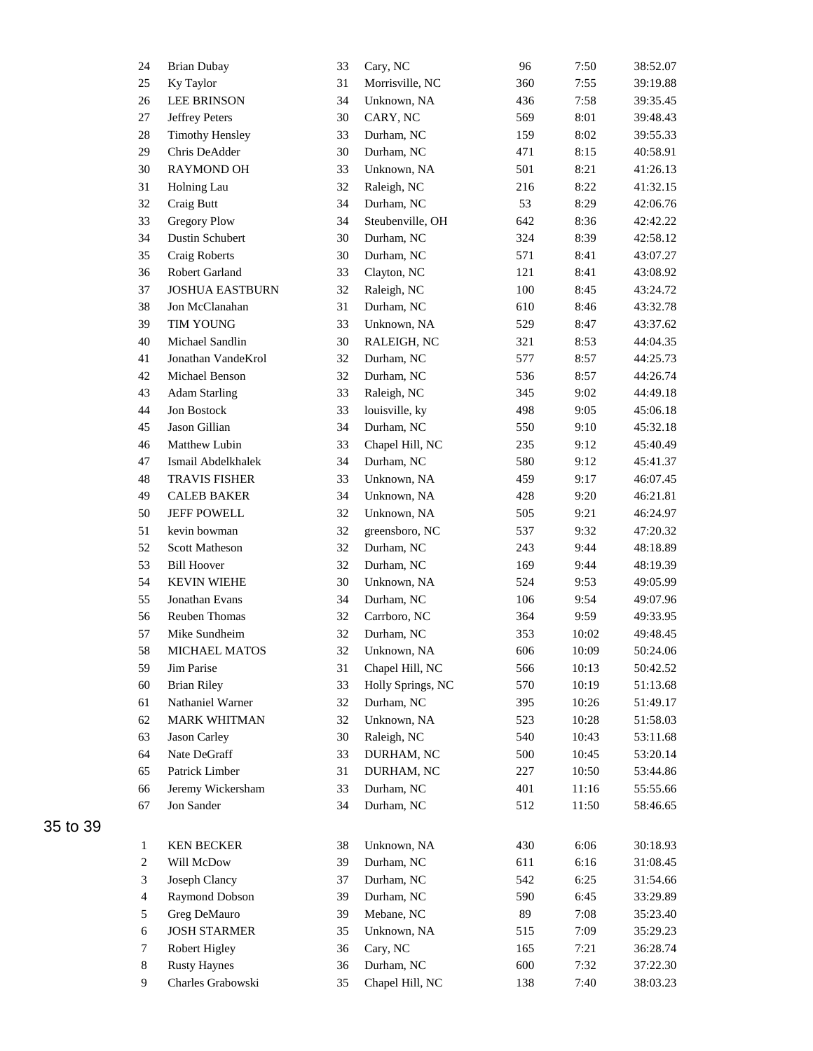| 24             | <b>Brian Dubay</b>     | 33 | Cary, NC          | 96  | 7:50  | 38:52.07 |
|----------------|------------------------|----|-------------------|-----|-------|----------|
| 25             | Ky Taylor              | 31 | Morrisville, NC   | 360 | 7:55  | 39:19.88 |
| 26             | <b>LEE BRINSON</b>     | 34 | Unknown, NA       | 436 | 7:58  | 39:35.45 |
| 27             | Jeffrey Peters         | 30 | CARY, NC          | 569 | 8:01  | 39:48.43 |
| 28             | <b>Timothy Hensley</b> | 33 | Durham, NC        | 159 | 8:02  | 39:55.33 |
| 29             | Chris DeAdder          | 30 | Durham, NC        | 471 | 8:15  | 40:58.91 |
| 30             | <b>RAYMOND OH</b>      | 33 | Unknown, NA       | 501 | 8:21  | 41:26.13 |
| 31             | Holning Lau            | 32 | Raleigh, NC       | 216 | 8:22  | 41:32.15 |
| 32             | Craig Butt             | 34 | Durham, NC        | 53  | 8:29  | 42:06.76 |
| 33             | <b>Gregory Plow</b>    | 34 | Steubenville, OH  | 642 | 8:36  | 42:42.22 |
| 34             | Dustin Schubert        | 30 | Durham, NC        | 324 | 8:39  | 42:58.12 |
| 35             | Craig Roberts          | 30 | Durham, NC        | 571 | 8:41  | 43:07.27 |
| 36             | Robert Garland         | 33 | Clayton, NC       | 121 | 8:41  | 43:08.92 |
| 37             | <b>JOSHUA EASTBURN</b> | 32 | Raleigh, NC       | 100 | 8:45  | 43:24.72 |
| 38             | Jon McClanahan         | 31 | Durham, NC        | 610 | 8:46  | 43:32.78 |
| 39             | <b>TIM YOUNG</b>       | 33 | Unknown, NA       | 529 | 8:47  | 43:37.62 |
| 40             | Michael Sandlin        | 30 | RALEIGH, NC       | 321 | 8:53  | 44:04.35 |
| 41             | Jonathan VandeKrol     | 32 | Durham, NC        | 577 | 8:57  | 44:25.73 |
| 42             | Michael Benson         | 32 | Durham, NC        | 536 | 8:57  | 44:26.74 |
| 43             | <b>Adam Starling</b>   | 33 | Raleigh, NC       | 345 | 9:02  | 44:49.18 |
| 44             | Jon Bostock            | 33 | louisville, ky    | 498 | 9:05  | 45:06.18 |
| 45             | Jason Gillian          | 34 | Durham, NC        | 550 | 9:10  | 45:32.18 |
| 46             | Matthew Lubin          | 33 | Chapel Hill, NC   | 235 | 9:12  | 45:40.49 |
| 47             | Ismail Abdelkhalek     | 34 | Durham, NC        | 580 | 9:12  | 45:41.37 |
| 48             | <b>TRAVIS FISHER</b>   | 33 | Unknown, NA       | 459 | 9:17  | 46:07.45 |
| 49             | <b>CALEB BAKER</b>     | 34 | Unknown, NA       | 428 | 9:20  | 46:21.81 |
| 50             | <b>JEFF POWELL</b>     | 32 | Unknown, NA       | 505 | 9:21  | 46:24.97 |
| 51             | kevin bowman           | 32 | greensboro, NC    | 537 | 9:32  | 47:20.32 |
| 52             | <b>Scott Matheson</b>  | 32 | Durham, NC        | 243 | 9:44  | 48:18.89 |
| 53             | <b>Bill Hoover</b>     | 32 | Durham, NC        | 169 | 9:44  | 48:19.39 |
| 54             | <b>KEVIN WIEHE</b>     | 30 | Unknown, NA       | 524 | 9:53  | 49:05.99 |
| 55             | Jonathan Evans         | 34 | Durham, NC        | 106 | 9:54  | 49:07.96 |
| 56             | Reuben Thomas          | 32 | Carrboro, NC      | 364 | 9:59  | 49:33.95 |
| 57             | Mike Sundheim          | 32 | Durham, NC        | 353 | 10:02 | 49:48.45 |
| 58             | MICHAEL MATOS          | 32 | Unknown, NA       | 606 | 10:09 | 50:24.06 |
| 59             | Jim Parise             | 31 | Chapel Hill, NC   | 566 | 10:13 | 50:42.52 |
| 60             | <b>Brian Riley</b>     | 33 | Holly Springs, NC | 570 | 10:19 | 51:13.68 |
| 61             | Nathaniel Warner       | 32 | Durham, NC        | 395 | 10:26 | 51:49.17 |
| 62             | <b>MARK WHITMAN</b>    | 32 | Unknown, NA       | 523 | 10:28 | 51:58.03 |
| 63             | Jason Carley           | 30 | Raleigh, NC       | 540 | 10:43 | 53:11.68 |
| 64             | Nate DeGraff           | 33 | DURHAM, NC        | 500 | 10:45 | 53:20.14 |
| 65             | Patrick Limber         | 31 | DURHAM, NC        | 227 | 10:50 | 53:44.86 |
| 66             | Jeremy Wickersham      | 33 | Durham, NC        | 401 | 11:16 | 55:55.66 |
| 67             | Jon Sander             | 34 | Durham, NC        | 512 | 11:50 | 58:46.65 |
|                |                        |    |                   |     |       |          |
| $\mathbf{1}$   | <b>KEN BECKER</b>      | 38 | Unknown, NA       | 430 | 6:06  | 30:18.93 |
| $\overline{c}$ | Will McDow             | 39 | Durham, NC        | 611 | 6:16  | 31:08.45 |
| 3              | Joseph Clancy          | 37 | Durham, NC        | 542 | 6:25  | 31:54.66 |
| $\overline{4}$ | Raymond Dobson         | 39 | Durham, NC        | 590 | 6:45  | 33:29.89 |
| 5              | Greg DeMauro           | 39 | Mebane, NC        | 89  | 7:08  | 35:23.40 |
| 6              | <b>JOSH STARMER</b>    | 35 | Unknown, NA       | 515 | 7:09  | 35:29.23 |
| $\tau$         | <b>Robert Higley</b>   | 36 | Cary, NC          | 165 | 7:21  | 36:28.74 |
| $8\,$          | <b>Rusty Haynes</b>    | 36 | Durham, NC        | 600 | 7:32  | 37:22.30 |
| 9              | Charles Grabowski      | 35 | Chapel Hill, NC   | 138 | 7:40  | 38:03.23 |
|                |                        |    |                   |     |       |          |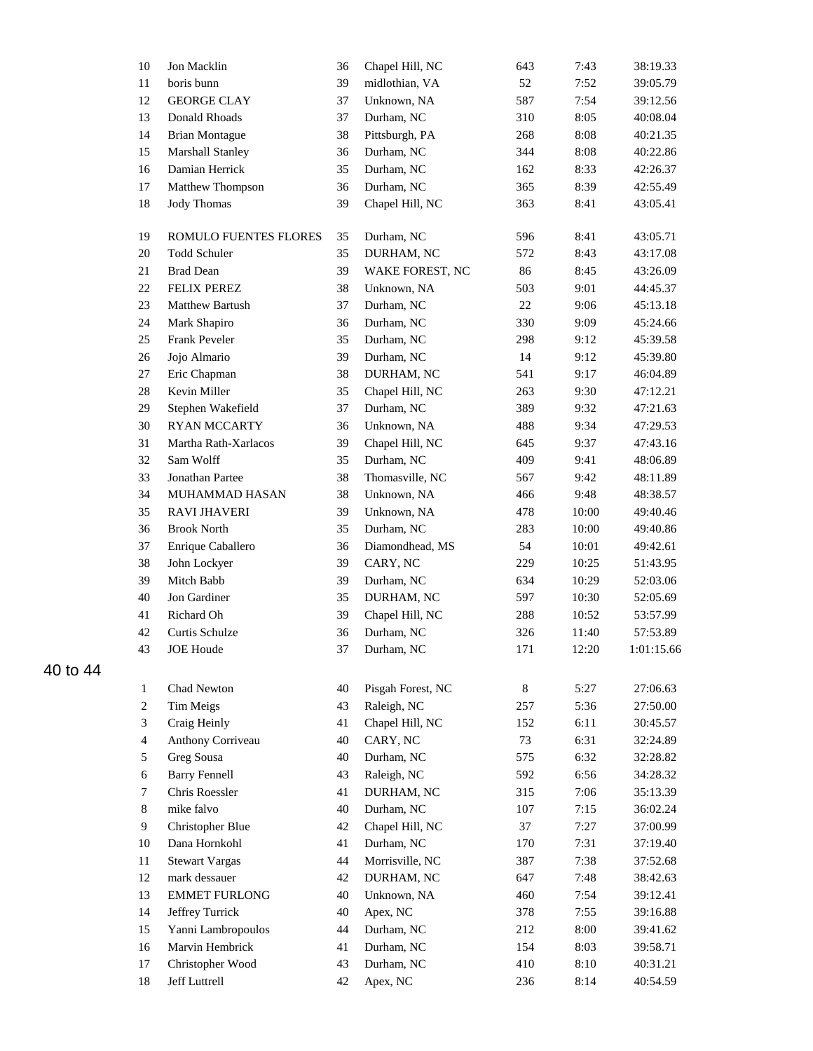| 10             | Jon Macklin           | 36 | Chapel Hill, NC   | 643 | 7:43  | 38:19.33   |
|----------------|-----------------------|----|-------------------|-----|-------|------------|
| 11             | boris bunn            | 39 | midlothian, VA    | 52  | 7:52  | 39:05.79   |
| 12             | <b>GEORGE CLAY</b>    | 37 | Unknown, NA       | 587 | 7:54  | 39:12.56   |
| 13             | Donald Rhoads         | 37 | Durham, NC        | 310 | 8:05  | 40:08.04   |
| 14             | <b>Brian Montague</b> | 38 | Pittsburgh, PA    | 268 | 8:08  | 40:21.35   |
| 15             | Marshall Stanley      | 36 | Durham, NC        | 344 | 8:08  | 40:22.86   |
| 16             | Damian Herrick        | 35 | Durham, NC        | 162 | 8:33  | 42:26.37   |
| 17             | Matthew Thompson      | 36 | Durham, NC        | 365 | 8:39  | 42:55.49   |
| 18             | <b>Jody Thomas</b>    | 39 | Chapel Hill, NC   | 363 | 8:41  | 43:05.41   |
| 19             | ROMULO FUENTES FLORES | 35 | Durham, NC        | 596 | 8:41  | 43:05.71   |
| 20             | <b>Todd Schuler</b>   | 35 | DURHAM, NC        | 572 | 8:43  | 43:17.08   |
| 21             | <b>Brad Dean</b>      | 39 | WAKE FOREST, NC   | 86  | 8:45  | 43:26.09   |
| $22\,$         | <b>FELIX PEREZ</b>    | 38 | Unknown, NA       | 503 | 9:01  | 44:45.37   |
| 23             | Matthew Bartush       | 37 | Durham, NC        | 22  | 9:06  | 45:13.18   |
| 24             | Mark Shapiro          | 36 | Durham, NC        | 330 | 9:09  | 45:24.66   |
| 25             | Frank Peveler         | 35 | Durham, NC        | 298 | 9:12  | 45:39.58   |
| 26             | Jojo Almario          | 39 | Durham, NC        | 14  | 9:12  | 45:39.80   |
| 27             | Eric Chapman          | 38 | DURHAM, NC        | 541 | 9:17  | 46:04.89   |
| $28\,$         | Kevin Miller          | 35 | Chapel Hill, NC   | 263 | 9:30  | 47:12.21   |
| 29             | Stephen Wakefield     | 37 | Durham, NC        | 389 | 9:32  | 47:21.63   |
| 30             | <b>RYAN MCCARTY</b>   | 36 | Unknown, NA       | 488 | 9:34  | 47:29.53   |
| 31             | Martha Rath-Xarlacos  | 39 | Chapel Hill, NC   | 645 | 9:37  | 47:43.16   |
| 32             | Sam Wolff             | 35 | Durham, NC        | 409 | 9:41  | 48:06.89   |
| 33             | Jonathan Partee       | 38 | Thomasville, NC   | 567 | 9:42  | 48:11.89   |
| 34             | MUHAMMAD HASAN        | 38 | Unknown, NA       | 466 | 9:48  | 48:38.57   |
| 35             | <b>RAVI JHAVERI</b>   | 39 | Unknown, NA       | 478 | 10:00 | 49:40.46   |
| 36             | <b>Brook North</b>    | 35 | Durham, NC        | 283 | 10:00 | 49:40.86   |
| 37             | Enrique Caballero     | 36 | Diamondhead, MS   | 54  | 10:01 | 49:42.61   |
| 38             | John Lockyer          | 39 | CARY, NC          | 229 | 10:25 | 51:43.95   |
| 39             | Mitch Babb            | 39 | Durham, NC        | 634 | 10:29 | 52:03.06   |
| 40             | Jon Gardiner          | 35 | DURHAM, NC        | 597 | 10:30 | 52:05.69   |
| 41             | Richard Oh            | 39 | Chapel Hill, NC   | 288 | 10:52 | 53:57.99   |
| 42             | Curtis Schulze        | 36 | Durham, NC        | 326 | 11:40 | 57:53.89   |
| 43             | <b>JOE</b> Houde      | 37 | Durham, NC        | 171 | 12:20 | 1:01:15.66 |
| 1              | Chad Newton           | 40 | Pisgah Forest, NC | 8   | 5:27  | 27:06.63   |
| $\sqrt{2}$     | <b>Tim Meigs</b>      | 43 | Raleigh, NC       | 257 | 5:36  | 27:50.00   |
| 3              | Craig Heinly          | 41 | Chapel Hill, NC   | 152 | 6:11  | 30:45.57   |
| $\overline{4}$ | Anthony Corriveau     | 40 | CARY, NC          | 73  | 6:31  | 32:24.89   |
| 5              | Greg Sousa            | 40 | Durham, NC        | 575 | 6:32  | 32:28.82   |
| 6              | <b>Barry Fennell</b>  | 43 | Raleigh, NC       | 592 | 6:56  | 34:28.32   |
| $\tau$         | Chris Roessler        | 41 | DURHAM, NC        | 315 | 7:06  | 35:13.39   |
| 8              | mike falvo            | 40 | Durham, NC        | 107 | 7:15  | 36:02.24   |
| 9              | Christopher Blue      | 42 | Chapel Hill, NC   | 37  | 7:27  | 37:00.99   |
| 10             | Dana Hornkohl         | 41 | Durham, NC        | 170 | 7:31  | 37:19.40   |
| 11             | <b>Stewart Vargas</b> | 44 | Morrisville, NC   | 387 | 7:38  | 37:52.68   |
| 12             | mark dessauer         | 42 | DURHAM, NC        | 647 | 7:48  | 38:42.63   |
| 13             | <b>EMMET FURLONG</b>  | 40 | Unknown, NA       | 460 | 7:54  | 39:12.41   |
| 14             | Jeffrey Turrick       | 40 | Apex, NC          | 378 | 7:55  | 39:16.88   |
| 15             | Yanni Lambropoulos    | 44 | Durham, NC        | 212 | 8:00  | 39:41.62   |
| 16             | Marvin Hembrick       | 41 | Durham, NC        | 154 | 8:03  | 39:58.71   |
| 17             | Christopher Wood      | 43 | Durham, NC        | 410 | 8:10  | 40:31.21   |
| 18             | Jeff Luttrell         | 42 | Apex, NC          | 236 | 8:14  | 40:54.59   |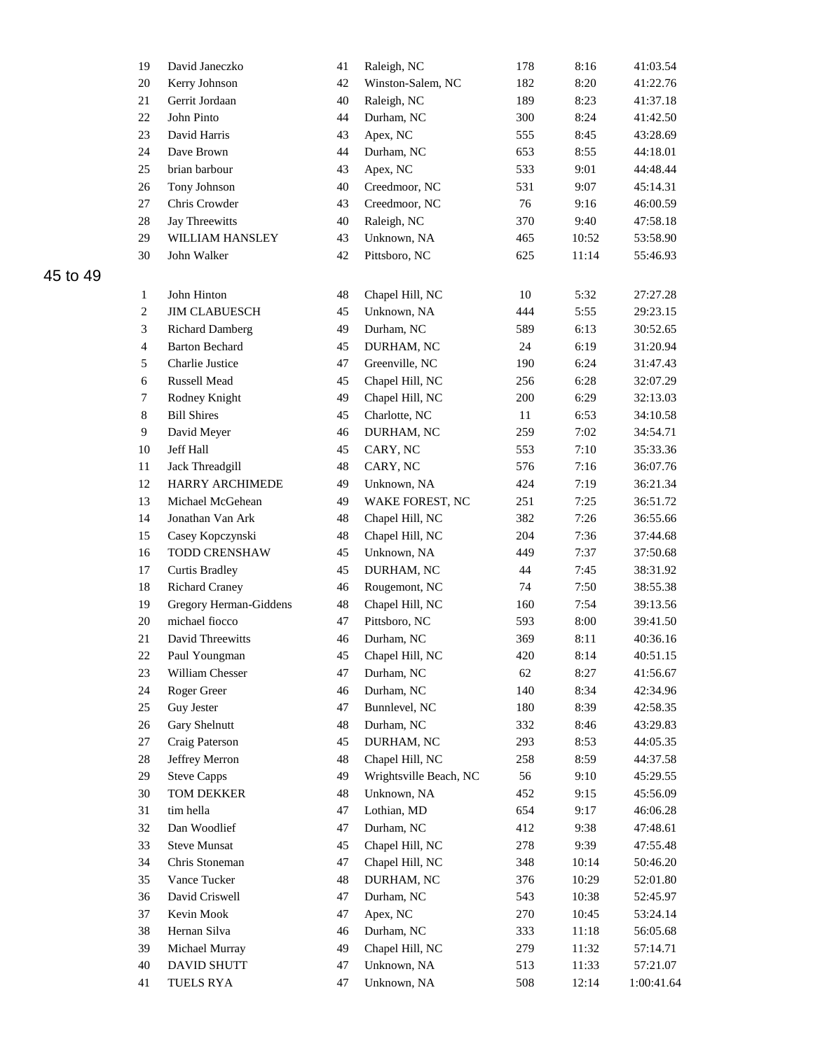| 19               | David Janeczko         | 41     | Raleigh, NC            | 178 | 8:16  | 41:03.54   |
|------------------|------------------------|--------|------------------------|-----|-------|------------|
| 20               | Kerry Johnson          | 42     | Winston-Salem, NC      | 182 | 8:20  | 41:22.76   |
| $21\,$           | Gerrit Jordaan         | 40     | Raleigh, NC            | 189 | 8:23  | 41:37.18   |
| 22               | John Pinto             | 44     | Durham, NC             | 300 | 8:24  | 41:42.50   |
| 23               | David Harris           | 43     | Apex, NC               | 555 | 8:45  | 43:28.69   |
| 24               | Dave Brown             | 44     | Durham, NC             | 653 | 8:55  | 44:18.01   |
| 25               | brian barbour          | 43     | Apex, NC               | 533 | 9:01  | 44:48.44   |
| 26               | Tony Johnson           | 40     | Creedmoor, NC          | 531 | 9:07  | 45:14.31   |
| 27               | Chris Crowder          | 43     | Creedmoor, NC          | 76  | 9:16  | 46:00.59   |
| $28\,$           | Jay Threewitts         | 40     | Raleigh, NC            | 370 | 9:40  | 47:58.18   |
| 29               | WILLIAM HANSLEY        | 43     | Unknown, NA            | 465 | 10:52 | 53:58.90   |
| 30               | John Walker            | 42     | Pittsboro, NC          | 625 | 11:14 | 55:46.93   |
|                  |                        |        |                        |     |       |            |
| $\mathbf{1}$     | John Hinton            | 48     | Chapel Hill, NC        | 10  | 5:32  | 27:27.28   |
| $\boldsymbol{2}$ | <b>JIM CLABUESCH</b>   | 45     | Unknown, NA            | 444 | 5:55  | 29:23.15   |
| 3                | <b>Richard Damberg</b> | 49     | Durham, NC             | 589 | 6:13  | 30:52.65   |
| $\overline{4}$   | <b>Barton Bechard</b>  | 45     | DURHAM, NC             | 24  | 6:19  | 31:20.94   |
| 5                | Charlie Justice        | 47     | Greenville, NC         | 190 | 6:24  | 31:47.43   |
| 6                | Russell Mead           | 45     | Chapel Hill, NC        | 256 | 6:28  | 32:07.29   |
| $\overline{7}$   | Rodney Knight          | 49     | Chapel Hill, NC        | 200 | 6:29  | 32:13.03   |
| $\,8\,$          | <b>Bill Shires</b>     | 45     | Charlotte, NC          | 11  | 6:53  | 34:10.58   |
| 9                | David Meyer            | 46     | DURHAM, NC             | 259 | 7:02  | 34:54.71   |
| 10               | Jeff Hall              | 45     | CARY, NC               | 553 | 7:10  | 35:33.36   |
| 11               | Jack Threadgill        | 48     | CARY, NC               | 576 | 7:16  | 36:07.76   |
| 12               | HARRY ARCHIMEDE        | 49     | Unknown, NA            | 424 | 7:19  | 36:21.34   |
| 13               | Michael McGehean       | 49     | WAKE FOREST, NC        | 251 | 7:25  | 36:51.72   |
| 14               | Jonathan Van Ark       | 48     | Chapel Hill, NC        | 382 | 7:26  | 36:55.66   |
| 15               | Casey Kopczynski       | 48     | Chapel Hill, NC        | 204 | 7:36  | 37:44.68   |
| 16               | TODD CRENSHAW          | 45     | Unknown, NA            | 449 | 7:37  | 37:50.68   |
| 17               | <b>Curtis Bradley</b>  | 45     | DURHAM, NC             | 44  | 7:45  | 38:31.92   |
| 18               | <b>Richard Craney</b>  | 46     | Rougemont, NC          | 74  | 7:50  | 38:55.38   |
| 19               | Gregory Herman-Giddens | $48\,$ | Chapel Hill, NC        | 160 | 7:54  | 39:13.56   |
| 20               | michael fiocco         | 47     | Pittsboro, NC          | 593 | 8:00  | 39:41.50   |
| $21\,$           | David Threewitts       | 46     | Durham, NC             | 369 | 8:11  | 40:36.16   |
| $22\,$           | Paul Youngman          | 45     | Chapel Hill, NC        | 420 | 8:14  | 40:51.15   |
| 23               | William Chesser        | 47     | Durham, NC             | 62  | 8:27  | 41:56.67   |
| 24               | Roger Greer            | 46     | Durham, NC             | 140 | 8:34  | 42:34.96   |
| 25               | Guy Jester             | 47     | Bunnlevel, NC          | 180 | 8:39  | 42:58.35   |
| $26\,$           | Gary Shelnutt          | 48     | Durham, NC             | 332 | 8:46  | 43:29.83   |
| 27               | Craig Paterson         | 45     | DURHAM, NC             | 293 | 8:53  | 44:05.35   |
| $28\,$           | Jeffrey Merron         | 48     | Chapel Hill, NC        | 258 | 8:59  | 44:37.58   |
| 29               | <b>Steve Capps</b>     | 49     | Wrightsville Beach, NC | 56  | 9:10  | 45:29.55   |
| $30\,$           | TOM DEKKER             | 48     | Unknown, NA            | 452 | 9:15  | 45:56.09   |
| 31               | tim hella              | 47     | Lothian, MD            | 654 | 9:17  | 46:06.28   |
| 32               | Dan Woodlief           | 47     | Durham, NC             | 412 | 9:38  | 47:48.61   |
| 33               | <b>Steve Munsat</b>    | 45     | Chapel Hill, NC        | 278 | 9:39  | 47:55.48   |
| 34               | Chris Stoneman         | 47     | Chapel Hill, NC        | 348 | 10:14 | 50:46.20   |
| 35               | Vance Tucker           | 48     | DURHAM, NC             | 376 | 10:29 | 52:01.80   |
| 36               | David Criswell         | 47     | Durham, NC             | 543 | 10:38 | 52:45.97   |
| 37               | Kevin Mook             | 47     | Apex, NC               | 270 | 10:45 | 53:24.14   |
| 38               | Hernan Silva           | 46     | Durham, NC             | 333 | 11:18 | 56:05.68   |
| 39               | Michael Murray         | 49     | Chapel Hill, NC        | 279 | 11:32 | 57:14.71   |
| 40               | DAVID SHUTT            | 47     | Unknown, NA            | 513 | 11:33 | 57:21.07   |
| 41               | <b>TUELS RYA</b>       | $47\,$ | Unknown, NA            | 508 | 12:14 | 1:00:41.64 |